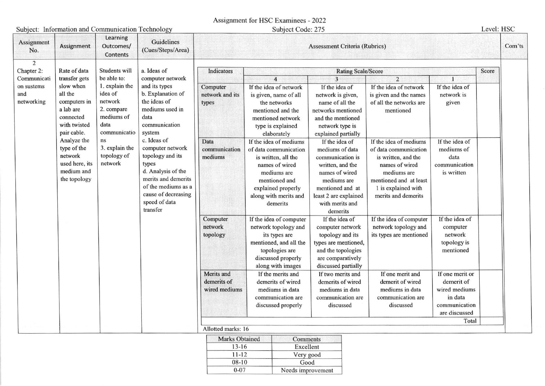Assignment for HSC Examinees - 2022

## Subject: Information and Communication Technology

| Subject: Information and Communication Technology |                                                                                                                                                                                        |                                                                                                                                                                            |                                                                                                                                                                                                                                                                                                                                     | Subject Code: 275                          |                                                                                                                                                                                     |                                                                                                                                                                                        |                                                                                                                                                                                 |                                                                                             | Level: HSC |        |
|---------------------------------------------------|----------------------------------------------------------------------------------------------------------------------------------------------------------------------------------------|----------------------------------------------------------------------------------------------------------------------------------------------------------------------------|-------------------------------------------------------------------------------------------------------------------------------------------------------------------------------------------------------------------------------------------------------------------------------------------------------------------------------------|--------------------------------------------|-------------------------------------------------------------------------------------------------------------------------------------------------------------------------------------|----------------------------------------------------------------------------------------------------------------------------------------------------------------------------------------|---------------------------------------------------------------------------------------------------------------------------------------------------------------------------------|---------------------------------------------------------------------------------------------|------------|--------|
| Assignment<br>No.                                 | <b>Assignment</b>                                                                                                                                                                      | Learning<br>Outcomes/<br>Contents                                                                                                                                          | Guidelines<br>(Cues/Steps/Area)                                                                                                                                                                                                                                                                                                     | <b>Assessment Criteria (Rubrics)</b>       |                                                                                                                                                                                     |                                                                                                                                                                                        |                                                                                                                                                                                 |                                                                                             |            | Com'ts |
| 2<br>Chapter 2:                                   | Rate of data                                                                                                                                                                           | Students will<br>be able to:<br>1. explain the<br>idea of<br>network<br>2. compare<br>mediums of<br>data<br>communicatio<br>ns<br>3. explain the<br>topology of<br>network | a. Ideas of<br>computer network<br>and its types<br>b. Explanation of<br>the ideas of<br>mediums used in<br>data<br>communication<br>system<br>c. Ideas of<br>computer network<br>topology and its<br>types<br>d. Analysis of the<br>merits and demerits<br>of the mediums as a<br>cause of decreasing<br>speed of data<br>transfer | Indicators<br><b>Rating Scale/Score</b>    |                                                                                                                                                                                     |                                                                                                                                                                                        |                                                                                                                                                                                 |                                                                                             |            |        |
| Communicati                                       | transfer gets                                                                                                                                                                          |                                                                                                                                                                            |                                                                                                                                                                                                                                                                                                                                     |                                            | $\boldsymbol{\Lambda}$                                                                                                                                                              | $\overline{\mathbf{3}}$                                                                                                                                                                | $\overline{2}$                                                                                                                                                                  |                                                                                             |            |        |
| on sustems<br>and<br>networking                   | slow when<br>all the<br>computers in<br>a lab are<br>connected<br>with twisted<br>pair cable.<br>Analyze the<br>type of the<br>network<br>used here, its<br>medium and<br>the topology |                                                                                                                                                                            |                                                                                                                                                                                                                                                                                                                                     | Computer<br>network and its<br>types       | If the idea of network<br>is given, name of all<br>the networks<br>mentioned and the<br>mentioned network<br>type is explained<br>elaborately                                       | If the idea of<br>network is given,<br>name of all the<br>networks mentioned<br>and the mentioned<br>network type is<br>explained partially                                            | If the idea of network<br>is given and the names<br>of all the networks are<br>mentioned                                                                                        | If the idea of<br>network is<br>given                                                       |            |        |
|                                                   |                                                                                                                                                                                        |                                                                                                                                                                            |                                                                                                                                                                                                                                                                                                                                     | Data<br>communication<br>mediums           | If the idea of mediums<br>of data communication<br>is written, all the<br>names of wired<br>mediums are<br>mentioned and<br>explained properly<br>along with merits and<br>demerits | If the idea of<br>mediums of data<br>communication is<br>written, and the<br>names of wired<br>mediums are<br>mentioned and at<br>least 2 are explained<br>with merits and<br>demerits | If the idea of mediums<br>of data communication<br>is written, and the<br>names of wired<br>mediums are<br>mentioned and at least<br>1 is explained with<br>merits and demerits | If the idea of<br>mediums of<br>data<br>communication<br>is written                         |            |        |
|                                                   |                                                                                                                                                                                        |                                                                                                                                                                            |                                                                                                                                                                                                                                                                                                                                     | Computer<br>network<br>topology            | If the idea of computer<br>network topology and<br>its types are<br>mentioned, and all the<br>topologies are<br>discussed properly<br>along with images                             | If the idea of<br>computer network<br>topology and its<br>types are mentioned,<br>and the topologies<br>are comparatively<br>discussed partially                                       | If the idea of computer<br>network topology and<br>its types are mentioned                                                                                                      | If the idea of<br>computer<br>network<br>topology is<br>mentioned                           |            |        |
|                                                   |                                                                                                                                                                                        |                                                                                                                                                                            |                                                                                                                                                                                                                                                                                                                                     | Merits and<br>demerits of<br>wired mediums | If the merits and<br>demerits of wired<br>mediums in data<br>communication are<br>discussed properly                                                                                | If two merits and<br>demerits of wired<br>mediums in data<br>communication are<br>discussed                                                                                            | If one merit and<br>demerit of wired<br>mediums in data<br>communication are<br>discussed                                                                                       | If one merit or<br>demerit of<br>wired mediums<br>in data<br>communication<br>are discussed |            |        |
|                                                   |                                                                                                                                                                                        |                                                                                                                                                                            |                                                                                                                                                                                                                                                                                                                                     | Total<br>Allotted marks: 16                |                                                                                                                                                                                     |                                                                                                                                                                                        |                                                                                                                                                                                 |                                                                                             |            |        |
|                                                   |                                                                                                                                                                                        |                                                                                                                                                                            |                                                                                                                                                                                                                                                                                                                                     |                                            |                                                                                                                                                                                     |                                                                                                                                                                                        |                                                                                                                                                                                 |                                                                                             |            |        |

| Marks Obtained | Comments          |  |  |  |
|----------------|-------------------|--|--|--|
| $13 - 16$      | Excellent         |  |  |  |
| $11 - 12$      | Very good         |  |  |  |
| $08 - 10$      | Good              |  |  |  |
| $0 - 07$       | Needs improvement |  |  |  |